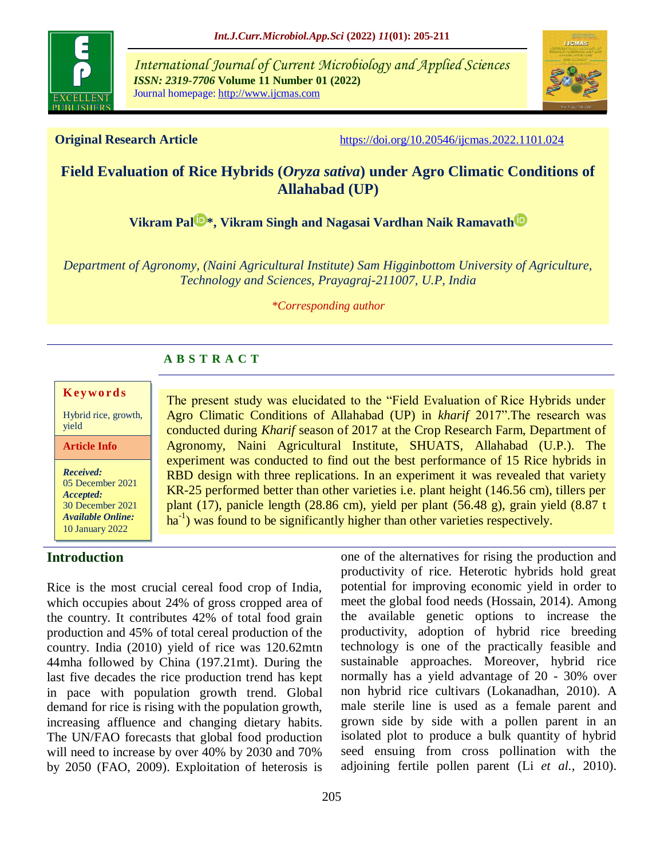

*International Journal of Current Microbiology and Applied Sciences ISSN: 2319-7706* **Volume 11 Number 01 (2022)**  Journal homepage: http://www.ijcmas.com



**Original Research Article** <https://doi.org/10.20546/ijcmas.2022.1101.024>

# **Field Evaluation of Rice Hybrids (***Oryza sativa***) under Agro Climatic Conditions of Allahabad (UP)**

**[Vikram Pal](https://orcid.org/0000-0002-3958-4758)<sup>D</sup><sup>[\\*](https://orcid.org/0000-0002-3958-4758)</sup>, Vikram Singh and [Nagasai Vardhan Naik Ramavath](https://orcid.org/0000-0003-3790-9616)<sup>D</sup>** 

*Department of Agronomy, (Naini Agricultural Institute) Sam Higginbottom University of Agriculture, Technology and Sciences, Prayagraj-211007, U.P, India*

*\*Corresponding author*

## **A B S T R A C T**

#### **K ey w o rd s**

Hybrid rice, growth, yield

**Article Info**

*Received:*  05 December 2021 *Accepted:*  30 December 2021 *Available Online:* 10 January 2022

## **Introduction**

Rice is the most crucial cereal food crop of India, which occupies about 24% of gross cropped area of the country. It contributes 42% of total food grain production and 45% of total cereal production of the country. India (2010) yield of rice was 120.62mtn 44mha followed by China (197.21mt). During the last five decades the rice production trend has kept in pace with population growth trend. Global demand for rice is rising with the population growth, increasing affluence and changing dietary habits. The UN/FAO forecasts that global food production will need to increase by over 40% by 2030 and 70% by 2050 (FAO, 2009). Exploitation of heterosis is

one of the alternatives for rising the production and productivity of rice. Heterotic hybrids hold great potential for improving economic yield in order to conducted during *Kharif* season of 2017 at the Crop Research Farm, Department of Agronomy, Naini Agricultural Institute, SHUATS, Allahabad (U.P.). The experiment was conducted to find out the best performance of 15 Rice hybrids in RBD design with three replications. In an experiment it was revealed that variety KR-25 performed better than other varieties i.e. plant height (146.56 cm), tillers per plant (17), panicle length (28.86 cm), yield per plant (56.48 g), grain yield (8.87 t ha<sup>-1</sup>) was found to be significantly higher than other varieties respectively.

The present study was elucidated to the "Field Evaluation of Rice Hybrids under Agro Climatic Conditions of Allahabad (UP) in *kharif* 2017".The research was

> meet the global food needs (Hossain, 2014). Among the available genetic options to increase the productivity, adoption of hybrid rice breeding technology is one of the practically feasible and sustainable approaches. Moreover, hybrid rice normally has a yield advantage of 20 - 30% over non hybrid rice cultivars (Lokanadhan, 2010). A male sterile line is used as a female parent and grown side by side with a pollen parent in an isolated plot to produce a bulk quantity of hybrid seed ensuing from cross pollination with the adjoining fertile pollen parent (Li *et al.,* 2010).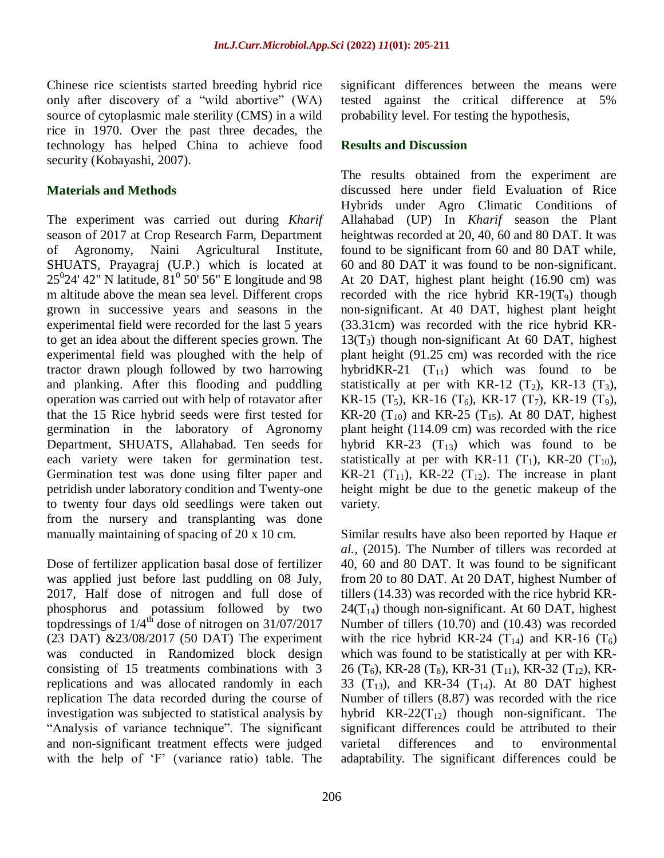Chinese rice scientists started breeding hybrid rice only after discovery of a "wild abortive" (WA) source of cytoplasmic male sterility (CMS) in a wild rice in 1970. Over the past three decades, the technology has helped China to achieve food security (Kobayashi, 2007).

## **Materials and Methods**

The experiment was carried out during *Kharif*  season of 2017 at Crop Research Farm, Department of Agronomy, Naini Agricultural Institute, SHUATS, Prayagraj (U.P.) which is located at  $25^{0}$ 24' 42" N latitude,  $81^{0}$  50' 56" E longitude and 98 m altitude above the mean sea level. Different crops grown in successive years and seasons in the experimental field were recorded for the last 5 years to get an idea about the different species grown. The experimental field was ploughed with the help of tractor drawn plough followed by two harrowing and planking. After this flooding and puddling operation was carried out with help of rotavator after that the 15 Rice hybrid seeds were first tested for germination in the laboratory of Agronomy Department, SHUATS, Allahabad. Ten seeds for each variety were taken for germination test. Germination test was done using filter paper and petridish under laboratory condition and Twenty-one to twenty four days old seedlings were taken out from the nursery and transplanting was done manually maintaining of spacing of 20 x 10 cm.

Dose of fertilizer application basal dose of fertilizer was applied just before last puddling on 08 July, 2017, Half dose of nitrogen and full dose of phosphorus and potassium followed by two topdressings of  $1/4^{\text{th}}$  dose of nitrogen on 31/07/2017 (23 DAT) &23/08/2017 (50 DAT) The experiment was conducted in Randomized block design consisting of 15 treatments combinations with 3 replications and was allocated randomly in each replication The data recorded during the course of investigation was subjected to statistical analysis by "Analysis of variance technique". The significant and non-significant treatment effects were judged with the help of 'F' (variance ratio) table. The

significant differences between the means were tested against the critical difference at 5% probability level. For testing the hypothesis,

#### **Results and Discussion**

The results obtained from the experiment are discussed here under field Evaluation of Rice Hybrids under Agro Climatic Conditions of Allahabad (UP) In *Kharif* season the Plant heightwas recorded at 20, 40, 60 and 80 DAT. It was found to be significant from 60 and 80 DAT while, 60 and 80 DAT it was found to be non-significant. At 20 DAT, highest plant height (16.90 cm) was recorded with the rice hybrid  $KR-19(T_9)$  though non-significant. At 40 DAT, highest plant height (33.31cm) was recorded with the rice hybrid KR- $13(T_3)$  though non-significant At 60 DAT, highest plant height (91.25 cm) was recorded with the rice hybridKR-21  $(T_{11})$  which was found to be statistically at per with KR-12  $(T_2)$ , KR-13  $(T_3)$ , KR-15 (T<sub>5</sub>), KR-16 (T<sub>6</sub>), KR-17 (T<sub>7</sub>), KR-19 (T<sub>9</sub>), KR-20  $(T_{10})$  and KR-25  $(T_{15})$ . At 80 DAT, highest plant height (114.09 cm) was recorded with the rice hybrid KR-23  $(T_{13})$  which was found to be statistically at per with KR-11  $(T_1)$ , KR-20  $(T_{10})$ , KR-21  $(T_{11})$ , KR-22  $(T_{12})$ . The increase in plant height might be due to the genetic makeup of the variety.

Similar results have also been reported by Haque *et al.,* (2015). The Number of tillers was recorded at 40, 60 and 80 DAT. It was found to be significant from 20 to 80 DAT. At 20 DAT, highest Number of tillers (14.33) was recorded with the rice hybrid KR- $24(T_{14})$  though non-significant. At 60 DAT, highest Number of tillers (10.70) and (10.43) was recorded with the rice hybrid KR-24  $(T_{14})$  and KR-16  $(T_6)$ which was found to be statistically at per with KR-26 (T<sub>6</sub>), KR-28 (T<sub>8</sub>), KR-31 (T<sub>11</sub>), KR-32 (T<sub>12</sub>), KR-33  $(T_{13})$ , and KR-34  $(T_{14})$ . At 80 DAT highest Number of tillers (8.87) was recorded with the rice hybrid  $KR-22(T_{12})$  though non-significant. The significant differences could be attributed to their varietal differences and to environmental adaptability. The significant differences could be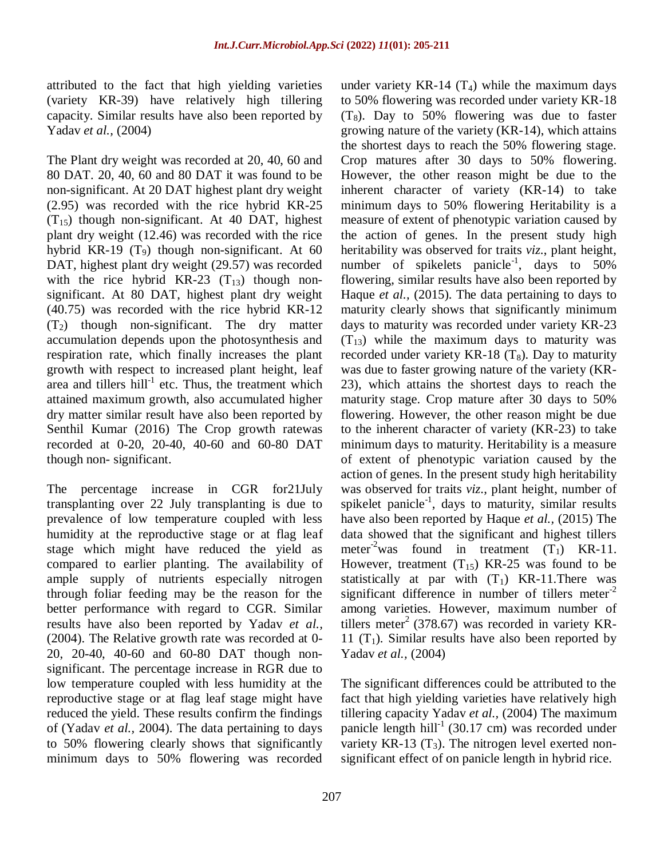attributed to the fact that high yielding varieties (variety KR-39) have relatively high tillering capacity. Similar results have also been reported by Yadav *et al.,* (2004)

The Plant dry weight was recorded at 20, 40, 60 and 80 DAT. 20, 40, 60 and 80 DAT it was found to be non-significant. At 20 DAT highest plant dry weight (2.95) was recorded with the rice hybrid KR-25  $(T_{15})$  though non-significant. At 40 DAT, highest plant dry weight (12.46) was recorded with the rice hybrid KR-19  $(T_9)$  though non-significant. At 60 DAT, highest plant dry weight (29.57) was recorded with the rice hybrid KR-23  $(T_{13})$  though nonsignificant. At 80 DAT, highest plant dry weight (40.75) was recorded with the rice hybrid KR-12  $(T_2)$  though non-significant. The dry matter accumulation depends upon the photosynthesis and respiration rate, which finally increases the plant growth with respect to increased plant height, leaf area and tillers  $\text{hill}^{-1}$  etc. Thus, the treatment which attained maximum growth, also accumulated higher dry matter similar result have also been reported by Senthil Kumar (2016) The Crop growth ratewas recorded at 0-20, 20-40, 40-60 and 60-80 DAT though non- significant.

The percentage increase in CGR for21July transplanting over 22 July transplanting is due to prevalence of low temperature coupled with less humidity at the reproductive stage or at flag leaf stage which might have reduced the yield as compared to earlier planting. The availability of ample supply of nutrients especially nitrogen through foliar feeding may be the reason for the better performance with regard to CGR. Similar results have also been reported by Yadav *et al.,* (2004). The Relative growth rate was recorded at 0- 20, 20-40, 40-60 and 60-80 DAT though nonsignificant. The percentage increase in RGR due to low temperature coupled with less humidity at the reproductive stage or at flag leaf stage might have reduced the yield. These results confirm the findings of (Yadav *et al.,* 2004). The data pertaining to days to 50% flowering clearly shows that significantly minimum days to 50% flowering was recorded

under variety KR-14  $(T_4)$  while the maximum days to 50% flowering was recorded under variety KR-18  $(T_8)$ . Day to 50% flowering was due to faster growing nature of the variety (KR-14), which attains the shortest days to reach the 50% flowering stage. Crop matures after 30 days to 50% flowering. However, the other reason might be due to the inherent character of variety (KR-14) to take minimum days to 50% flowering Heritability is a measure of extent of phenotypic variation caused by the action of genes. In the present study high heritability was observed for traits *viz*., plant height, number of spikelets panicle<sup>-1</sup>, days to  $50\%$ flowering, similar results have also been reported by Haque *et al.,* (2015). The data pertaining to days to maturity clearly shows that significantly minimum days to maturity was recorded under variety KR-23  $(T_{13})$  while the maximum days to maturity was recorded under variety KR-18  $(T_8)$ . Day to maturity was due to faster growing nature of the variety (KR-23), which attains the shortest days to reach the maturity stage. Crop mature after 30 days to 50% flowering. However, the other reason might be due to the inherent character of variety (KR-23) to take minimum days to maturity. Heritability is a measure of extent of phenotypic variation caused by the action of genes. In the present study high heritability was observed for traits *viz*., plant height, number of spikelet panicle<sup>-1</sup>, days to maturity, similar results have also been reported by Haque *et al.,* (2015) The data showed that the significant and highest tillers meter<sup>-2</sup>was found in treatment  $(T_1)$  KR-11. However, treatment  $(T_{15})$  KR-25 was found to be statistically at par with  $(T_1)$  KR-11. There was significant difference in number of tillers meter<sup>-2</sup> among varieties. However, maximum number of tillers meter<sup>2</sup> (378.67) was recorded in variety KR-11 (T<sub>1</sub>). Similar results have also been reported by Yadav *et al.,* (2004)

The significant differences could be attributed to the fact that high yielding varieties have relatively high tillering capacity Yadav *et al.,* (2004) The maximum panicle length hill<sup>-1</sup> (30.17 cm) was recorded under variety KR-13  $(T_3)$ . The nitrogen level exerted nonsignificant effect of on panicle length in hybrid rice.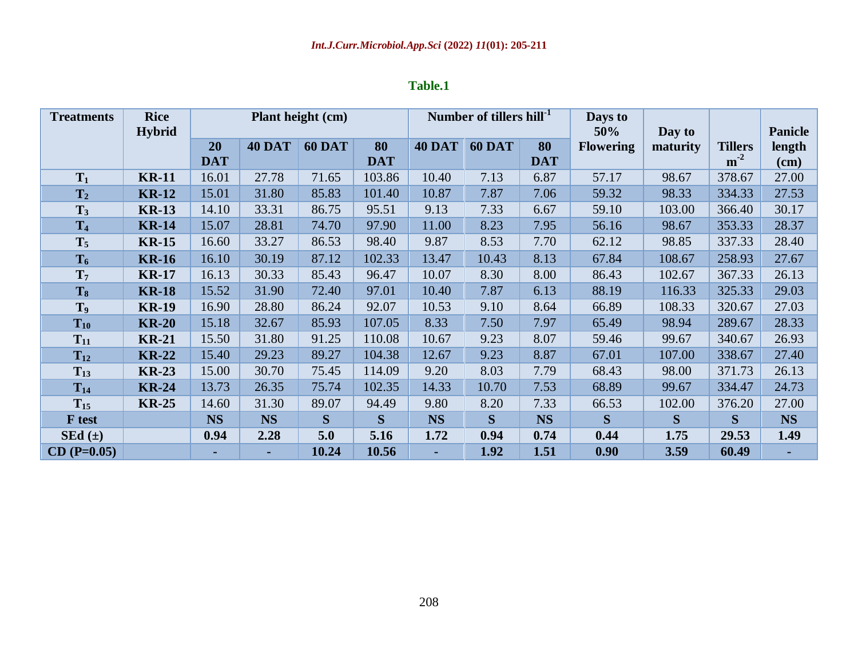| <b>Treatments</b> | <b>Rice</b><br><b>Hybrid</b> | Plant height (cm) |               |                     |              |                           | Number of tillers hill <sup>-1</sup> |            | Days to<br>50%   | Day to   |                | <b>Panicle</b> |
|-------------------|------------------------------|-------------------|---------------|---------------------|--------------|---------------------------|--------------------------------------|------------|------------------|----------|----------------|----------------|
|                   |                              | 20                | <b>40 DAT</b> | <b>60 DAT</b><br>80 |              | <b>60 DAT</b><br>$40$ DAT |                                      | 80         | <b>Flowering</b> | maturity | <b>Tillers</b> | length         |
|                   |                              | <b>DAT</b>        |               |                     | <b>DAT</b>   |                           |                                      | <b>DAT</b> |                  |          | $m^{-2}$       | (cm)           |
| $T_1$             | <b>KR-11</b>                 | 16.01             | 27.78         | 71.65               | 103.86       | 10.40                     | 7.13                                 | 6.87       | 57.17            | 98.67    | 378.67         | 27.00          |
| T <sub>2</sub>    | <b>KR-12</b>                 | 15.01             | 31.80         | 85.83               | 101.40       | 10.87                     | 7.87                                 | 7.06       | 59.32            | 98.33    | 334.33         | 27.53          |
| $T_3$             | <b>KR-13</b>                 | 14.10             | 33.31         | 86.75               | 95.51        | 9.13                      | 7.33                                 | 6.67       | 59.10            | 103.00   | 366.40         | 30.17          |
| T <sub>4</sub>    | <b>KR-14</b>                 | 15.07             | 28.81         | 74.70               | 97.90        | 11.00                     | 8.23                                 | 7.95       | 56.16            | 98.67    | 353.33         | 28.37          |
| $T_5$             | <b>KR-15</b>                 | 16.60             | 33.27         | 86.53               | 98.40        | 9.87                      | 8.53                                 | 7.70       | 62.12            | 98.85    | 337.33         | 28.40          |
| $T_6$             | <b>KR-16</b>                 | 16.10             | 30.19         | 87.12               | 102.33       | 13.47                     | 10.43                                | 8.13       | 67.84            | 108.67   | 258.93         | 27.67          |
| T <sub>7</sub>    | <b>KR-17</b>                 | 16.13             | 30.33         | 85.43               | 96.47        | 10.07                     | 8.30                                 | 8.00       | 86.43            | 102.67   | 367.33         | 26.13          |
| $T_8$             | <b>KR-18</b>                 | 15.52             | 31.90         | 72.40               | 97.01        | 10.40                     | 7.87                                 | 6.13       | 88.19            | 116.33   | 325.33         | 29.03          |
| T <sub>9</sub>    | <b>KR-19</b>                 | 16.90             | 28.80         | 86.24               | 92.07        | 10.53                     | 9.10                                 | 8.64       | 66.89            | 108.33   | 320.67         | 27.03          |
| $T_{10}$          | <b>KR-20</b>                 | 15.18             | 32.67         | 85.93               | 107.05       | 8.33                      | 7.50                                 | 7.97       | 65.49            | 98.94    | 289.67         | 28.33          |
| $T_{11}$          | <b>KR-21</b>                 | 15.50             | 31.80         | 91.25               | 110.08       | 10.67                     | 9.23                                 | 8.07       | 59.46            | 99.67    | 340.67         | 26.93          |
| $T_{12}$          | <b>KR-22</b>                 | 15.40             | 29.23         | 89.27               | 104.38       | 12.67                     | 9.23                                 | 8.87       | 67.01            | 107.00   | 338.67         | 27.40          |
| $T_{13}$          | <b>KR-23</b>                 | 15.00             | 30.70         | 75.45               | 114.09       | 9.20                      | 8.03                                 | 7.79       | 68.43            | 98.00    | 371.73         | 26.13          |
| $T_{14}$          | <b>KR-24</b>                 | 13.73             | 26.35         | 75.74               | 102.35       | 14.33                     | 10.70                                | 7.53       | 68.89            | 99.67    | 334.47         | 24.73          |
| $T_{15}$          | <b>KR-25</b>                 | 14.60             | 31.30         | 89.07               | 94.49        | 9.80                      | 8.20                                 | 7.33       | 66.53            | 102.00   | 376.20         | 27.00          |
| <b>F</b> test     |                              | <b>NS</b>         | <b>NS</b>     | S                   | <sub>S</sub> | <b>NS</b>                 | S                                    | <b>NS</b>  | S                | S        | S              | <b>NS</b>      |
| $SEd (\pm)$       |                              | 0.94              | 2.28          | 5.0                 | 5.16         | 1.72                      | 0.94                                 | 0.74       | 0.44             | 1.75     | 29.53          | 1.49           |
| $CD (P=0.05)$     |                              |                   |               | 10.24               | 10.56        | ٠                         | 1.92                                 | 1.51       | 0.90             | 3.59     | 60.49          |                |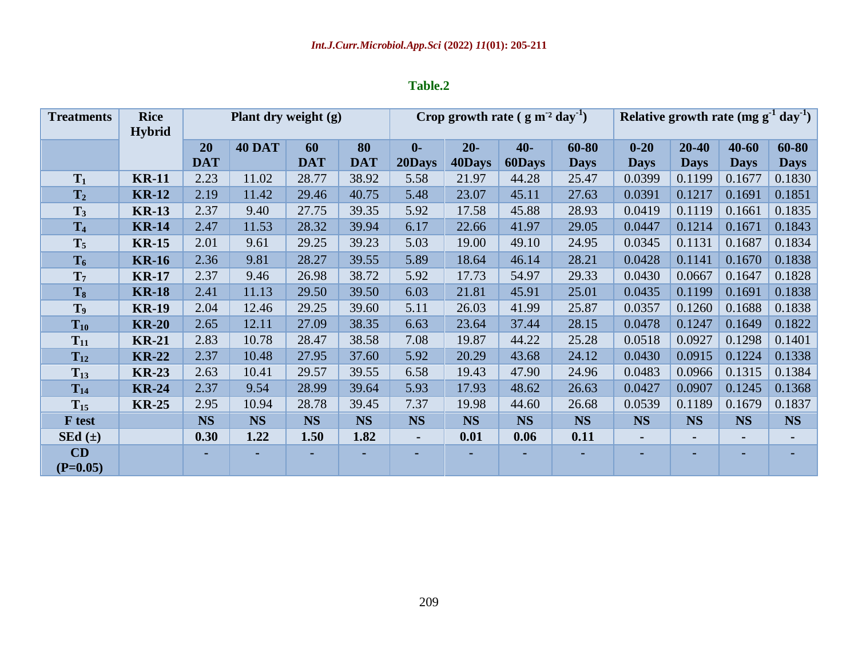| <b>Treatments</b> | <b>Rice</b>   | Plant dry weight (g) |               |            |            | Crop growth rate $(g m^2 day^{-1})$ |           |               |             | Relative growth rate (mg $g^{-1}$ day <sup>-1</sup> ) |                |             |             |
|-------------------|---------------|----------------------|---------------|------------|------------|-------------------------------------|-----------|---------------|-------------|-------------------------------------------------------|----------------|-------------|-------------|
|                   | <b>Hybrid</b> |                      |               |            |            |                                     |           |               |             |                                                       |                |             |             |
|                   |               | 20                   | <b>40 DAT</b> | 60         | 80         | $\mathbf{0}$                        | $20-$     | $40-$         | 60-80       | $0 - 20$                                              | $20 - 40$      | $40 - 60$   | 60-80       |
|                   |               | <b>DAT</b>           |               | <b>DAT</b> | <b>DAT</b> | 20Days                              | 40Days    | <b>60Days</b> | <b>Days</b> | <b>Days</b>                                           | <b>Days</b>    | <b>Days</b> | <b>Days</b> |
| $T_1$             | <b>KR-11</b>  | 2.23                 | 11.02         | 28.77      | 38.92      | 5.58                                | 21.97     | 44.28         | 25.47       | 0.0399                                                | 0.1199         | 0.1677      | 0.1830      |
| T <sub>2</sub>    | <b>KR-12</b>  | 2.19                 | 11.42         | 29.46      | 40.75      | 5.48                                | 23.07     | 45.11         | 27.63       | 0.0391                                                | 0.1217         | 0.1691      | 0.1851      |
| $T_3$             | <b>KR-13</b>  | 2.37                 | 9.40          | 27.75      | 39.35      | 5.92                                | 17.58     | 45.88         | 28.93       | 0.0419                                                | 0.1119         | 0.1661      | 0.1835      |
| T <sub>4</sub>    | <b>KR-14</b>  | 2.47                 | 11.53         | 28.32      | 39.94      | 6.17                                | 22.66     | 41.97         | 29.05       | 0.0447                                                | 0.1214         | 0.1671      | 0.1843      |
| $T_5$             | <b>KR-15</b>  | 2.01                 | 9.61          | 29.25      | 39.23      | 5.03                                | 19.00     | 49.10         | 24.95       | 0.0345                                                | 0.1131         | 0.1687      | 0.1834      |
| $T_6$             | <b>KR-16</b>  | 2.36                 | 9.81          | 28.27      | 39.55      | 5.89                                | 18.64     | 46.14         | 28.21       | 0.0428                                                | 0.1141         | 0.1670      | 0.1838      |
| T <sub>7</sub>    | <b>KR-17</b>  | 2.37                 | 9.46          | 26.98      | 38.72      | 5.92                                | 17.73     | 54.97         | 29.33       | 0.0430                                                | 0.0667         | 0.1647      | 0.1828      |
| T <sub>8</sub>    | <b>KR-18</b>  | 2.41                 | 11.13         | 29.50      | 39.50      | 6.03                                | 21.81     | 45.91         | 25.01       | 0.0435                                                | 0.1199         | 0.1691      | 0.1838      |
| T <sub>9</sub>    | <b>KR-19</b>  | 2.04                 | 12.46         | 29.25      | 39.60      | 5.11                                | 26.03     | 41.99         | 25.87       | 0.0357                                                | 0.1260         | 0.1688      | 0.1838      |
| $T_{10}$          | <b>KR-20</b>  | 2.65                 | 12.11         | 27.09      | 38.35      | 6.63                                | 23.64     | 37.44         | 28.15       | 0.0478                                                | 0.1247         | 0.1649      | 0.1822      |
| $T_{11}$          | <b>KR-21</b>  | 2.83                 | 10.78         | 28.47      | 38.58      | 7.08                                | 19.87     | 44.22         | 25.28       | 0.0518                                                | 0.0927         | 0.1298      | 0.1401      |
| $T_{12}$          | <b>KR-22</b>  | 2.37                 | 10.48         | 27.95      | 37.60      | 5.92                                | 20.29     | 43.68         | 24.12       | 0.0430                                                | 0.0915         | 0.1224      | 0.1338      |
| $T_{13}$          | <b>KR-23</b>  | 2.63                 | 10.41         | 29.57      | 39.55      | 6.58                                | 19.43     | 47.90         | 24.96       | 0.0483                                                | 0.0966         | 0.1315      | 0.1384      |
| $T_{14}$          | <b>KR-24</b>  | 2.37                 | 9.54          | 28.99      | 39.64      | 5.93                                | 17.93     | 48.62         | 26.63       | 0.0427                                                | 0.0907         | 0.1245      | 0.1368      |
| $T_{15}$          | <b>KR-25</b>  | 2.95                 | 10.94         | 28.78      | 39.45      | 7.37                                | 19.98     | 44.60         | 26.68       | 0.0539                                                | 0.1189         | 0.1679      | 0.1837      |
| <b>F</b> test     |               | <b>NS</b>            | <b>NS</b>     | <b>NS</b>  | <b>NS</b>  | <b>NS</b>                           | <b>NS</b> | <b>NS</b>     | <b>NS</b>   | <b>NS</b>                                             | <b>NS</b>      | <b>NS</b>   | <b>NS</b>   |
| $SEd (\pm)$       |               | 0.30                 | 1.22          | 1.50       | 1.82       | $\blacksquare$                      | 0.01      | 0.06          | 0.11        |                                                       | $\blacksquare$ |             |             |
| CD<br>$(P=0.05)$  |               | ٠.                   |               | ۰.         |            | ٠                                   |           |               | ٠           |                                                       | $\blacksquare$ |             |             |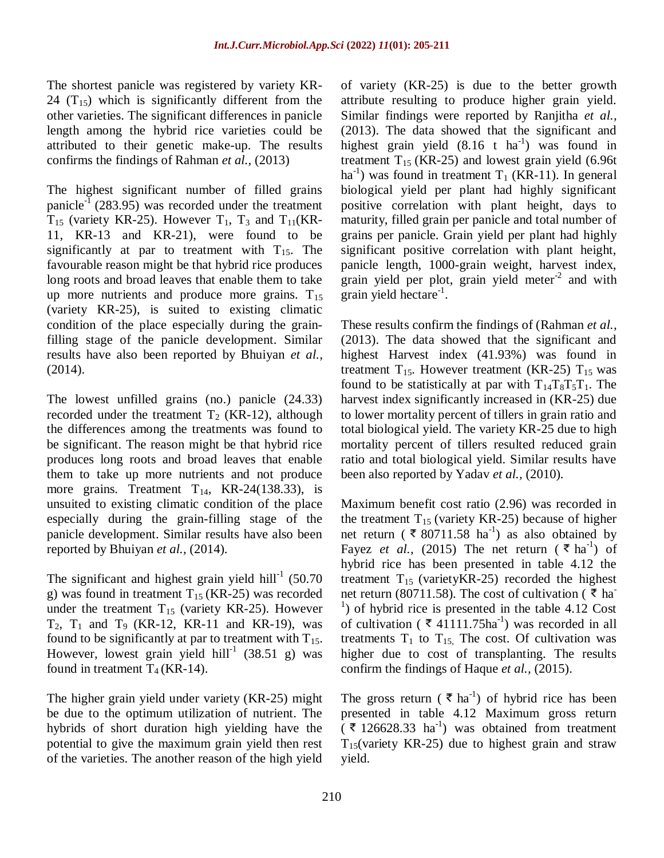The shortest panicle was registered by variety KR-24  $(T_{15})$  which is significantly different from the other varieties. The significant differences in panicle length among the hybrid rice varieties could be attributed to their genetic make-up. The results confirms the findings of Rahman *et al.,* (2013)

The highest significant number of filled grains panicle<sup>-1</sup> (283.95) was recorded under the treatment  $T_{15}$  (variety KR-25). However  $T_1$ ,  $T_3$  and  $T_{11}$ (KR-11, KR-13 and KR-21), were found to be significantly at par to treatment with  $T_{15}$ . The favourable reason might be that hybrid rice produces long roots and broad leaves that enable them to take up more nutrients and produce more grains.  $T_{15}$ (variety KR-25), is suited to existing climatic condition of the place especially during the grainfilling stage of the panicle development. Similar results have also been reported by Bhuiyan *et al.,* (2014).

The lowest unfilled grains (no.) panicle (24.33) recorded under the treatment  $T_2$  (KR-12), although the differences among the treatments was found to be significant. The reason might be that hybrid rice produces long roots and broad leaves that enable them to take up more nutrients and not produce more grains. Treatment  $T_{14}$ , KR-24(138.33), is unsuited to existing climatic condition of the place especially during the grain-filling stage of the panicle development. Similar results have also been reported by Bhuiyan *et al.,* (2014).

The significant and highest grain yield hill<sup>-1</sup> (50.70 g) was found in treatment  $T_{15}$  (KR-25) was recorded under the treatment  $T_{15}$  (variety KR-25). However  $T_2$ ,  $T_1$  and  $T_9$  (KR-12, KR-11 and KR-19), was found to be significantly at par to treatment with  $T_{15}$ . However, lowest grain yield hill<sup>-1</sup> (38.51 g) was found in treatment  $T_4$  (KR-14).

The higher grain yield under variety (KR-25) might be due to the optimum utilization of nutrient. The hybrids of short duration high yielding have the potential to give the maximum grain yield then rest of the varieties. The another reason of the high yield

of variety (KR-25) is due to the better growth attribute resulting to produce higher grain yield. Similar findings were reported by Ranjitha *et al.,* (2013). The data showed that the significant and highest grain yield  $(8.16 \text{ t} \text{ ha}^{-1})$  was found in treatment  $T_{15}$  (KR-25) and lowest grain yield (6.96t) ha<sup>-1</sup>) was found in treatment  $T_1$  (KR-11). In general biological yield per plant had highly significant positive correlation with plant height, days to maturity, filled grain per panicle and total number of grains per panicle. Grain yield per plant had highly significant positive correlation with plant height, panicle length, 1000-grain weight, harvest index, grain yield per plot, grain yield meter $2$  and with  $\frac{1}{2}$ grain yield hectare<sup>-1</sup>.

These results confirm the findings of (Rahman *et al.,*  (2013). The data showed that the significant and highest Harvest index (41.93%) was found in treatment  $T_{15}$ . However treatment (KR-25)  $T_{15}$  was found to be statistically at par with  $T_{14}T_8T_5T_1$ . The harvest index significantly increased in (KR-25) due to lower mortality percent of tillers in grain ratio and total biological yield. The variety KR-25 due to high mortality percent of tillers resulted reduced grain ratio and total biological yield. Similar results have been also reported by Yadav *et al.,* (2010).

Maximum benefit cost ratio (2.96) was recorded in the treatment  $T_{15}$  (variety KR-25) because of higher net return ( $\bar{\mathbf{\xi}}$  80711.58 ha<sup>-1</sup>) as also obtained by Fayez *et al.*, (2015) The net return ( $\bar{\epsilon}$  ha<sup>-1</sup>) of hybrid rice has been presented in table 4.12 the treatment  $T_{15}$  (variety KR-25) recorded the highest net return (80711.58). The cost of cultivation ( $\bar{\tau}$  ha- $<sup>1</sup>$ ) of hybrid rice is presented in the table 4.12 Cost</sup> of cultivation ( $\bar{\mathcal{A}}$  41111.75ha<sup>-1</sup>) was recorded in all treatments  $T_1$  to  $T_{15}$ . The cost. Of cultivation was higher due to cost of transplanting. The results confirm the findings of Haque *et al.,* (2015).

The gross return ( $\bar{\epsilon}$  ha<sup>-1</sup>) of hybrid rice has been presented in table 4.12 Maximum gross return  $(\bar{\mathcal{K}}$  126628.33 ha<sup>-1</sup>) was obtained from treatment  $T_{15}$ (variety KR-25) due to highest grain and straw yield.